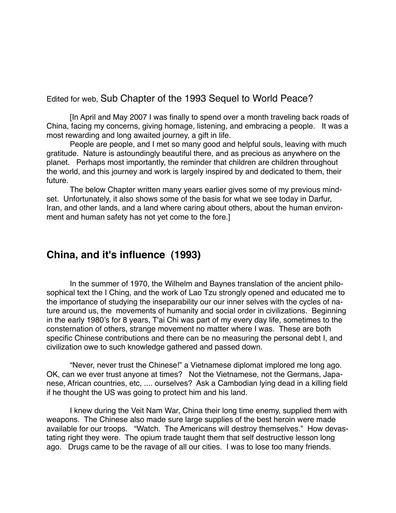Edited for web, Sub Chapter of the 1993 Sequel to World Peace?

[In April and May 2007 I was finally to spend over a month traveling back roads of China, facing my concerns, giving homage, listening, and embracing a people. It was a most rewarding and long awaited journey, a gift in life.

People are people, and I met so many good and helpful souls, leaving with much gratitude. Nature is astoundingly beautiful there, and as precious as anywhere on the planet. Perhaps most importantly, the reminder that children are children throughout the world, and this journey and work is largely inspired by and dedicated to them, their future.

The below Chapter written many years earlier gives some of my previous mindset. Unfortunately, it also shows some of the basis for what we see today in Darfur, Iran, and other lands, and a land where caring about others, about the human environment and human safety has not yet come to the fore.]

## **China, and it's influence (1993)**

In the summer of 1970, the Wilhelm and Baynes translation of the ancient philosophical text the I Ching, and the work of Lao Tzu strongly opened and educated me to the importance of studying the inseparability our our inner selves with the cycles of nature around us, the movements of humanity and social order in civilizations. Beginning in the early 1980's for 8 years, T'ai Chi was part of my every day life, sometimes to the consternation of others, strange movement no matter where I was. These are both specific Chinese contributions and there can be no measuring the personal debt I, and civilization owe to such knowledge gathered and passed down.

"Never, never trust the Chinese!" a Vietnamese diplomat implored me long ago. OK, can we ever trust anyone at times? Not the Vietnamese, not the Germans, Japanese, African countries, etc, .... ourselves? Ask a Cambodian lying dead in a killing field if he thought the US was going to protect him and his land.

I knew during the Veit Nam War, China their long time enemy, supplied them with weapons. The Chinese also made sure large supplies of the best heroin were made available for our troops. "Watch. The Americans will destroy themselves." How devastating right they were. The opium trade taught them that self destructive lesson long ago. Drugs came to be the ravage of all our cities. I was to lose too many friends.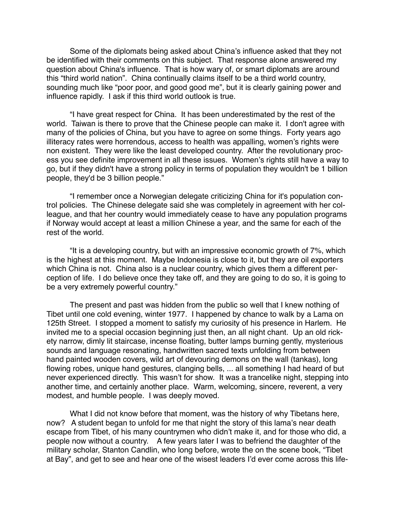Some of the diplomats being asked about China's influence asked that they not be identified with their comments on this subject. That response alone answered my question about China's influence. That is how wary of, or smart diplomats are around this "third world nation". China continually claims itself to be a third world country, sounding much like "poor poor, and good good me", but it is clearly gaining power and influence rapidly. I ask if this third world outlook is true.

"I have great respect for China. It has been underestimated by the rest of the world. Taiwan is there to prove that the Chinese people can make it. I don't agree with many of the policies of China, but you have to agree on some things. Forty years ago illiteracy rates were horrendous, access to health was appalling, women's rights were non existent. They were like the least developed country. After the revolutionary process you see definite improvement in all these issues. Women's rights still have a way to go, but if they didn't have a strong policy in terms of population they wouldn't be 1 billion people, they'd be 3 billion people."

"I remember once a Norwegian delegate criticizing China for it's population control policies. The Chinese delegate said she was completely in agreement with her colleague, and that her country would immediately cease to have any population programs if Norway would accept at least a million Chinese a year, and the same for each of the rest of the world.

"It is a developing country, but with an impressive economic growth of 7%, which is the highest at this moment. Maybe Indonesia is close to it, but they are oil exporters which China is not. China also is a nuclear country, which gives them a different perception of life. I do believe once they take off, and they are going to do so, it is going to be a very extremely powerful country."

The present and past was hidden from the public so well that I knew nothing of Tibet until one cold evening, winter 1977. I happened by chance to walk by a Lama on 125th Street. I stopped a moment to satisfy my curiosity of his presence in Harlem. He invited me to a special occasion beginning just then, an all night chant. Up an old rickety narrow, dimly lit staircase, incense floating, butter lamps burning gently, mysterious sounds and language resonating, handwritten sacred texts unfolding from between hand painted wooden covers, wild art of devouring demons on the wall (tankas), long flowing robes, unique hand gestures, clanging bells, ... all something I had heard of but never experienced directly. This wasn't for show. It was a trancelike night, stepping into another time, and certainly another place. Warm, welcoming, sincere, reverent, a very modest, and humble people. I was deeply moved.

What I did not know before that moment, was the history of why Tibetans here, now? A student began to unfold for me that night the story of this lama's near death escape from Tibet, of his many countrymen who didn't make it, and for those who did, a people now without a country. A few years later I was to befriend the daughter of the military scholar, Stanton Candlin, who long before, wrote the on the scene book, "Tibet at Bay", and get to see and hear one of the wisest leaders I'd ever come across this life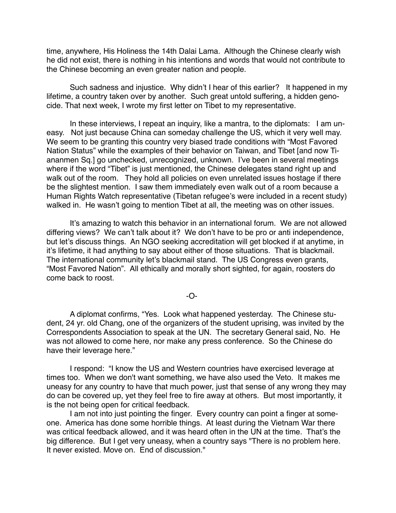time, anywhere, His Holiness the 14th Dalai Lama. Although the Chinese clearly wish he did not exist, there is nothing in his intentions and words that would not contribute to the Chinese becoming an even greater nation and people.

Such sadness and injustice. Why didn't I hear of this earlier? It happened in my lifetime, a country taken over by another. Such great untold suffering, a hidden genocide. That next week, I wrote my first letter on Tibet to my representative.

In these interviews, I repeat an inquiry, like a mantra, to the diplomats: I am uneasy. Not just because China can someday challenge the US, which it very well may. We seem to be granting this country very biased trade conditions with "Most Favored Nation Status" while the examples of their behavior on Taiwan, and Tibet [and now Tiananmen Sq.] go unchecked, unrecognized, unknown. I've been in several meetings where if the word "Tibet" is just mentioned, the Chinese delegates stand right up and walk out of the room. They hold all policies on even unrelated issues hostage if there be the slightest mention. I saw them immediately even walk out of a room because a Human Rights Watch representative (Tibetan refugee's were included in a recent study) walked in. He wasn't going to mention Tibet at all, the meeting was on other issues.

It's amazing to watch this behavior in an international forum. We are not allowed differing views? We can't talk about it? We don't have to be pro or anti independence, but let's discuss things. An NGO seeking accreditation will get blocked if at anytime, in it's lifetime, it had anything to say about either of those situations. That is blackmail. The international community let's blackmail stand. The US Congress even grants, "Most Favored Nation". All ethically and morally short sighted, for again, roosters do come back to roost.

-O-

A diplomat confirms, "Yes. Look what happened yesterday. The Chinese student, 24 yr. old Chang, one of the organizers of the student uprising, was invited by the Correspondents Association to speak at the UN. The secretary General said, No. He was not allowed to come here, nor make any press conference. So the Chinese do have their leverage here."

I respond: "I know the US and Western countries have exercised leverage at times too. When we don't want something, we have also used the Veto. It makes me uneasy for any country to have that much power, just that sense of any wrong they may do can be covered up, yet they feel free to fire away at others. But most importantly, it is the not being open for critical feedback.

I am not into just pointing the finger. Every country can point a finger at someone. America has done some horrible things. At least during the Vietnam War there was critical feedback allowed, and it was heard often in the UN at the time. That's the big difference. But I get very uneasy, when a country says "There is no problem here. It never existed. Move on. End of discussion."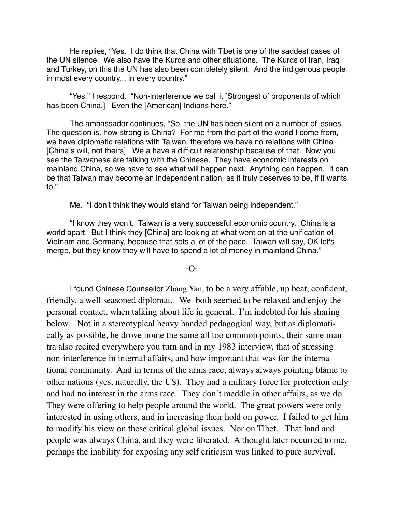He replies, "Yes. I do think that China with Tibet is one of the saddest cases of the UN silence. We also have the Kurds and other situations. The Kurds of Iran, Iraq and Turkey, on this the UN has also been completely silent. And the indigenous people in most every country... in every country."

"Yes," I respond. "Non-interference we call it [Strongest of proponents of which has been China.] Even the [American] Indians here."

The ambassador continues, "So, the UN has been silent on a number of issues. The question is, how strong is China? For me from the part of the world I come from, we have diplomatic relations with Taiwan, therefore we have no relations with China [China's will, not theirs]. We a have a difficult relationship because of that. Now you see the Taiwanese are talking with the Chinese. They have economic interests on mainland China, so we have to see what will happen next. Anything can happen. It can be that Taiwan may become an independent nation, as it truly deserves to be, if it wants to."

Me. "I don't think they would stand for Taiwan being independent."

"I know they won't. Taiwan is a very successful economic country. China is a world apart. But I think they [China] are looking at what went on at the unification of Vietnam and Germany, because that sets a lot of the pace. Taiwan will say, OK let's merge, but they know they will have to spend a lot of money in mainland China."

-O-

I found Chinese Counsellor Zhang Yan, to be a very affable, up beat, confident, friendly, a well seasoned diplomat. We both seemed to be relaxed and enjoy the personal contact, when talking about life in general. I'm indebted for his sharing below. Not in a stereotypical heavy handed pedagogical way, but as diplomatically as possible, he drove home the same all too common points, their same mantra also recited everywhere you turn and in my 1983 interview, that of stressing non-interference in internal affairs, and how important that was for the international community. And in terms of the arms race, always always pointing blame to other nations (yes, naturally, the US). They had a military force for protection only and had no interest in the arms race. They don't meddle in other affairs, as we do. They were offering to help people around the world. The great powers were only interested in using others, and in increasing their hold on power. I failed to get him to modify his view on these critical global issues. Nor on Tibet. That land and people was always China, and they were liberated. A thought later occurred to me, perhaps the inability for exposing any self criticism was linked to pure survival.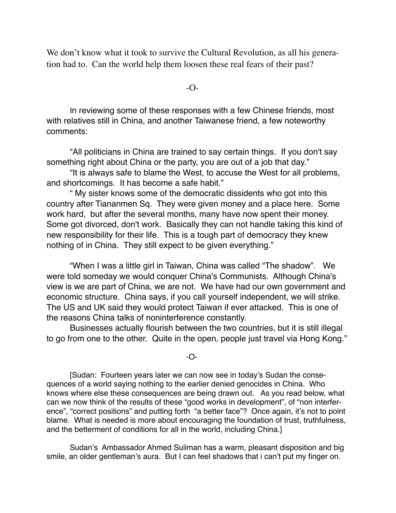We don't know what it took to survive the Cultural Revolution, as all his generation had to. Can the world help them loosen these real fears of their past?

-O-

In reviewing some of these responses with a few Chinese friends, most with relatives still in China, and another Taiwanese friend, a few noteworthy comments:

"All politicians in China are trained to say certain things. If you don't say something right about China or the party, you are out of a job that day."

"It is always safe to blame the West, to accuse the West for all problems, and shortcomings. It has become a safe habit."

" My sister knows some of the democratic dissidents who got into this country after Tiananmen Sq. They were given money and a place here. Some work hard, but after the several months, many have now spent their money. Some got divorced, don't work. Basically they can not handle taking this kind of new responsibility for their life. This is a tough part of democracy they knew nothing of in China. They still expect to be given everything."

"When I was a little girl in Taiwan, China was called "The shadow". We were told someday we would conquer China's Communists. Although China's view is we are part of China, we are not. We have had our own government and economic structure. China says, if you call yourself independent, we will strike. The US and UK said they would protect Taiwan if ever attacked. This is one of the reasons China talks of noninterference constantly.

Businesses actually flourish between the two countries, but it is still illegal to go from one to the other. Quite in the open, people just travel via Hong Kong."

-O-

[Sudan: Fourteen years later we can now see in today's Sudan the consequences of a world saying nothing to the earlier denied genocides in China. Who knows where else these consequences are being drawn out. As you read below, what can we now think of the results of these "good works in development", of "non interference", "correct positions" and putting forth "a better face"? Once again, it's not to point blame. What is needed is more about encouraging the foundation of trust, truthfulness, and the betterment of conditions for all in the world, including China.]

Sudan's Ambassador Ahmed Suliman has a warm, pleasant disposition and big smile, an older gentleman's aura. But I can feel shadows that i can't put my finger on.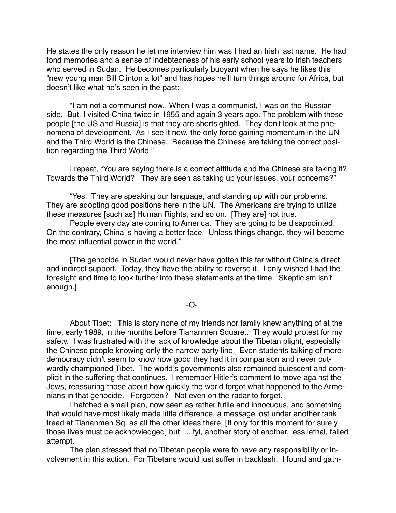He states the only reason he let me interview him was I had an Irish last name. He had fond memories and a sense of indebtedness of his early school years to Irish teachers who served in Sudan. He becomes particularly buoyant when he says he likes this "new young man Bill Clinton a lot" and has hopes he'll turn things around for Africa, but doesn't like what he's seen in the past:

"I am not a communist now. When I was a communist, I was on the Russian side. But, I visited China twice in 1955 and again 3 years ago. The problem with these people [the US and Russia] is that they are shortsighted. They don't look at the phenomena of development. As I see it now, the only force gaining momentum in the UN and the Third World is the Chinese. Because the Chinese are taking the correct position regarding the Third World."

I repeat, "You are saying there is a correct attitude and the Chinese are taking it? Towards the Third World? They are seen as taking up your issues, your concerns?"

"Yes. They are speaking our language, and standing up with our problems. They are adopting good positions here in the UN. The Americans are trying to utilize these measures [such as] Human Rights, and so on. [They are] not true.

People every day are coming to America. They are going to be disappointed. On the contrary, China is having a better face. Unless things change, they will become the most influential power in the world."

[The genocide in Sudan would never have gotten this far without China's direct and indirect support. Today, they have the ability to reverse it. I only wished I had the foresight and time to look further into these statements at the time. Skepticism isn't enough.]

-O-

About Tibet: This is story none of my friends nor family knew anything of at the time, early 1989, in the months before Tiananmen Square.. They would protest for my safety. I was frustrated with the lack of knowledge about the Tibetan plight, especially the Chinese people knowing only the narrow party line. Even students talking of more democracy didn't seem to know how good they had it in comparison and never outwardly championed Tibet. The world's governments also remained quiescent and complicit in the suffering that continues. I remember Hitler's comment to move against the Jews, reassuring those about how quickly the world forgot what happened to the Armenians in that genocide. Forgotten? Not even on the radar to forget.

I hatched a small plan, now seen as rather futile and innocuous, and something that would have most likely made little difference, a message lost under another tank tread at Tiananmen Sq. as all the other ideas there, [If only for this moment for surely those lives must be acknowledged] but .... fyi, another story of another, less lethal, failed attempt.

The plan stressed that no Tibetan people were to have any responsibility or involvement in this action. For Tibetans would just suffer in backlash. I found and gath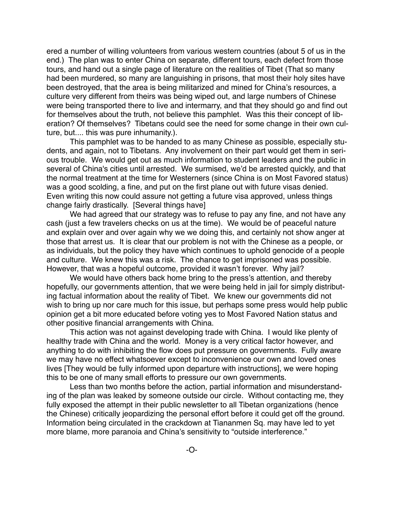ered a number of willing volunteers from various western countries (about 5 of us in the end.) The plan was to enter China on separate, different tours, each defect from those tours, and hand out a single page of literature on the realities of Tibet (That so many had been murdered, so many are languishing in prisons, that most their holy sites have been destroyed, that the area is being militarized and mined for China's resources, a culture very different from theirs was being wiped out, and large numbers of Chinese were being transported there to live and intermarry, and that they should go and find out for themselves about the truth, not believe this pamphlet. Was this their concept of liberation? Of themselves? Tibetans could see the need for some change in their own culture, but.... this was pure inhumanity.).

This pamphlet was to be handed to as many Chinese as possible, especially students, and again, not to Tibetans. Any involvement on their part would get them in serious trouble. We would get out as much information to student leaders and the public in several of China's cities until arrested. We surmised, we'd be arrested quickly, and that the normal treatment at the time for Westerners (since China is on Most Favored status) was a good scolding, a fine, and put on the first plane out with future visas denied. Even writing this now could assure not getting a future visa approved, unless things change fairly drastically. [Several things have]

We had agreed that our strategy was to refuse to pay any fine, and not have any cash (just a few travelers checks on us at the time). We would be of peaceful nature and explain over and over again why we we doing this, and certainly not show anger at those that arrest us. It is clear that our problem is not with the Chinese as a people, or as individuals, but the policy they have which continues to uphold genocide of a people and culture. We knew this was a risk. The chance to get imprisoned was possible. However, that was a hopeful outcome, provided it wasn't forever. Why jail?

We would have others back home bring to the press's attention, and thereby hopefully, our governments attention, that we were being held in jail for simply distributing factual information about the reality of Tibet. We knew our governments did not wish to bring up nor care much for this issue, but perhaps some press would help public opinion get a bit more educated before voting yes to Most Favored Nation status and other positive financial arrangements with China.

This action was not against developing trade with China. I would like plenty of healthy trade with China and the world. Money is a very critical factor however, and anything to do with inhibiting the flow does put pressure on governments. Fully aware we may have no effect whatsoever except to inconvenience our own and loved ones lives [They would be fully informed upon departure with instructions], we were hoping this to be one of many small efforts to pressure our own governments.

Less than two months before the action, partial information and misunderstanding of the plan was leaked by someone outside our circle. Without contacting me, they fully exposed the attempt in their public newsletter to all Tibetan organizations (hence the Chinese) critically jeopardizing the personal effort before it could get off the ground. Information being circulated in the crackdown at Tiananmen Sq. may have led to yet more blame, more paranoia and China's sensitivity to "outside interference."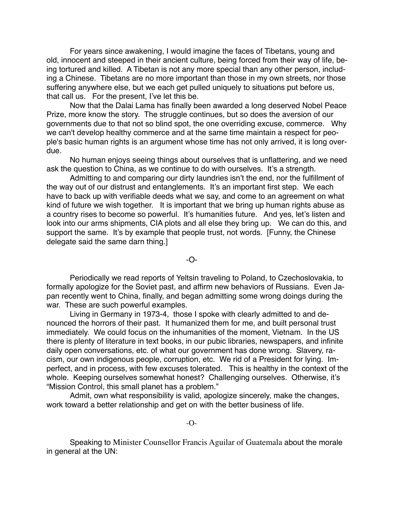For years since awakening, I would imagine the faces of Tibetans, young and old, innocent and steeped in their ancient culture, being forced from their way of life, being tortured and killed. A Tibetan is not any more special than any other person, including a Chinese. Tibetans are no more important than those in my own streets, nor those suffering anywhere else, but we each get pulled uniquely to situations put before us, that call us. For the present, I've let this be.

Now that the Dalai Lama has finally been awarded a long deserved Nobel Peace Prize, more know the story. The struggle continues, but so does the aversion of our governments due to that not so blind spot, the one overriding excuse, commerce. Why we can't develop healthy commerce and at the same time maintain a respect for people's basic human rights is an argument whose time has not only arrived, it is long overdue.

No human enjoys seeing things about ourselves that is unflattering, and we need ask the question to China, as we continue to do with ourselves. It's a strength.

Admitting to and comparing our dirty laundries isn't the end, nor the fulfillment of the way out of our distrust and entanglements. It's an important first step. We each have to back up with verifiable deeds what we say, and come to an agreement on what kind of future we wish together. It is important that we bring up human rights abuse as a country rises to become so powerful. It's humanities future. And yes, let's listen and look into our arms shipments, CIA plots and all else they bring up. We can do this, and support the same. It's by example that people trust, not words. [Funny, the Chinese delegate said the same darn thing.]

-O-

Periodically we read reports of Yeltsin traveling to Poland, to Czechoslovakia, to formally apologize for the Soviet past, and affirm new behaviors of Russians. Even Japan recently went to China, finally, and began admitting some wrong doings during the war. These are such powerful examples.

Living in Germany in 1973-4, those I spoke with clearly admitted to and denounced the horrors of their past. It humanized them for me, and built personal trust immediately. We could focus on the inhumanities of the moment, Vietnam. In the US there is plenty of literature in text books, in our pubic libraries, newspapers, and infinite daily open conversations, etc. of what our government has done wrong. Slavery, racism, our own indigenous people, corruption, etc. We rid of a President for lying. Imperfect, and in process, with few excuses tolerated. This is healthy in the context of the whole. Keeping ourselves somewhat honest? Challenging ourselves. Otherwise, it's "Mission Control, this small planet has a problem."

Admit, own what responsibility is valid, apologize sincerely, make the changes, work toward a better relationship and get on with the better business of life.

-O-

Speaking to Minister Counsellor Francis Aguilar of Guatemala about the morale in general at the UN: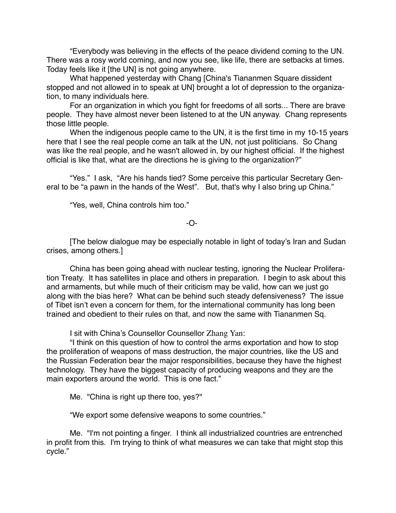"Everybody was believing in the effects of the peace dividend coming to the UN. There was a rosy world coming, and now you see, like life, there are setbacks at times. Today feels like it [the UN] is not going anywhere.

What happened yesterday with Chang [China's Tiananmen Square dissident stopped and not allowed in to speak at UN] brought a lot of depression to the organization, to many individuals here.

For an organization in which you fight for freedoms of all sorts... There are brave people. They have almost never been listened to at the UN anyway. Chang represents those little people.

When the indigenous people came to the UN, it is the first time in my 10-15 years here that I see the real people come an talk at the UN, not just politicians. So Chang was like the real people, and he wasn't allowed in, by our highest official. If the highest official is like that, what are the directions he is giving to the organization?"

"Yes." I ask, "Are his hands tied? Some perceive this particular Secretary General to be "a pawn in the hands of the West". But, that's why I also bring up China."

"Yes, well, China controls him too."

## -O-

[The below dialogue may be especially notable in light of today's Iran and Sudan crises, among others.]

China has been going ahead with nuclear testing, ignoring the Nuclear Proliferation Treaty. It has satellites in place and others in preparation. I begin to ask about this and armaments, but while much of their criticism may be valid, how can we just go along with the bias here? What can be behind such steady defensiveness? The issue of Tibet isn't even a concern for them, for the international community has long been trained and obedient to their rules on that, and now the same with Tiananmen Sq.

I sit with China's Counsellor Counsellor Zhang Yan:

"I think on this question of how to control the arms exportation and how to stop the proliferation of weapons of mass destruction, the major countries, like the US and the Russian Federation bear the major responsibilities, because they have the highest technology. They have the biggest capacity of producing weapons and they are the main exporters around the world. This is one fact."

Me. "China is right up there too, yes?"

"We export some defensive weapons to some countries."

Me. "I'm not pointing a finger. I think all industrialized countries are entrenched in profit from this. I'm trying to think of what measures we can take that might stop this cycle."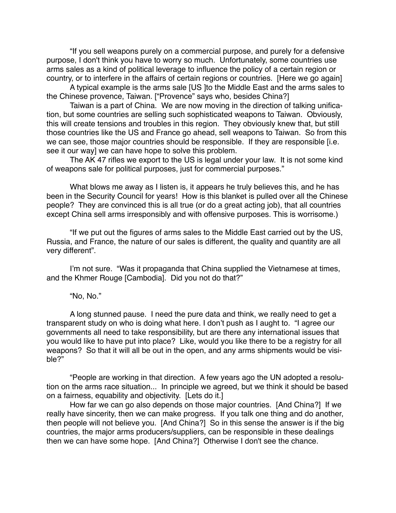"If you sell weapons purely on a commercial purpose, and purely for a defensive purpose, I don't think you have to worry so much. Unfortunately, some countries use arms sales as a kind of political leverage to influence the policy of a certain region or country, or to interfere in the affairs of certain regions or countries. [Here we go again]

A typical example is the arms sale [US ]to the Middle East and the arms sales to the Chinese provence, Taiwan. ["Provence" says who, besides China?]

Taiwan is a part of China. We are now moving in the direction of talking unification, but some countries are selling such sophisticated weapons to Taiwan. Obviously, this will create tensions and troubles in this region. They obviously knew that, but still those countries like the US and France go ahead, sell weapons to Taiwan. So from this we can see, those major countries should be responsible. If they are responsible [i.e. see it our way] we can have hope to solve this problem.

The AK 47 rifles we export to the US is legal under your law. It is not some kind of weapons sale for political purposes, just for commercial purposes."

What blows me away as I listen is, it appears he truly believes this, and he has been in the Security Council for years! How is this blanket is pulled over all the Chinese people? They are convinced this is all true (or do a great acting job), that all countries except China sell arms irresponsibly and with offensive purposes. This is worrisome.)

"If we put out the figures of arms sales to the Middle East carried out by the US, Russia, and France, the nature of our sales is different, the quality and quantity are all very different".

I'm not sure. "Was it propaganda that China supplied the Vietnamese at times, and the Khmer Rouge [Cambodia]. Did you not do that?"

"No, No."

A long stunned pause. I need the pure data and think, we really need to get a transparent study on who is doing what here. I don't push as I aught to. "I agree our governments all need to take responsibility, but are there any international issues that you would like to have put into place? Like, would you like there to be a registry for all weapons? So that it will all be out in the open, and any arms shipments would be visible?"

"People are working in that direction. A few years ago the UN adopted a resolution on the arms race situation... In principle we agreed, but we think it should be based on a fairness, equability and objectivity. [Lets do it.]

How far we can go also depends on those major countries. [And China?] If we really have sincerity, then we can make progress. If you talk one thing and do another, then people will not believe you. [And China?] So in this sense the answer is if the big countries, the major arms producers/suppliers, can be responsible in these dealings then we can have some hope. [And China?] Otherwise I don't see the chance.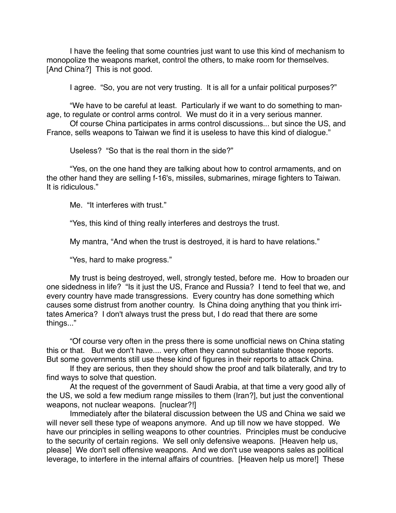I have the feeling that some countries just want to use this kind of mechanism to monopolize the weapons market, control the others, to make room for themselves. [And China?] This is not good.

I agree. "So, you are not very trusting. It is all for a unfair political purposes?"

"We have to be careful at least. Particularly if we want to do something to manage, to regulate or control arms control. We must do it in a very serious manner.

Of course China participates in arms control discussions... but since the US, and France, sells weapons to Taiwan we find it is useless to have this kind of dialogue."

Useless? "So that is the real thorn in the side?"

"Yes, on the one hand they are talking about how to control armaments, and on the other hand they are selling f-16's, missiles, submarines, mirage fighters to Taiwan. It is ridiculous."

Me. "It interferes with trust."

"Yes, this kind of thing really interferes and destroys the trust.

My mantra, "And when the trust is destroyed, it is hard to have relations."

"Yes, hard to make progress."

My trust is being destroyed, well, strongly tested, before me. How to broaden our one sidedness in life? "Is it just the US, France and Russia? I tend to feel that we, and every country have made transgressions. Every country has done something which causes some distrust from another country. Is China doing anything that you think irritates America? I don't always trust the press but, I do read that there are some things..."

"Of course very often in the press there is some unofficial news on China stating this or that. But we don't have.... very often they cannot substantiate those reports. But some governments still use these kind of figures in their reports to attack China.

If they are serious, then they should show the proof and talk bilaterally, and try to find ways to solve that question.

At the request of the government of Saudi Arabia, at that time a very good ally of the US, we sold a few medium range missiles to them (Iran?], but just the conventional weapons, not nuclear weapons. [nuclear?!]

Immediately after the bilateral discussion between the US and China we said we will never sell these type of weapons anymore. And up till now we have stopped. We have our principles in selling weapons to other countries. Principles must be conducive to the security of certain regions. We sell only defensive weapons. [Heaven help us, please] We don't sell offensive weapons. And we don't use weapons sales as political leverage, to interfere in the internal affairs of countries. [Heaven help us more!] These